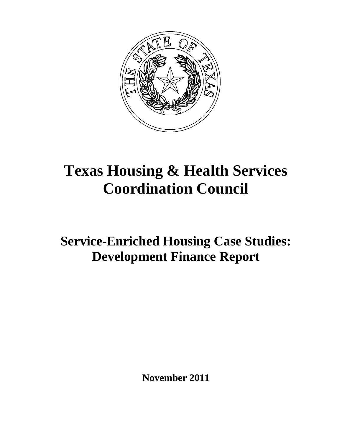

# **Texas Housing & Health Services Coordination Council**

# **Service-Enriched Housing Case Studies: Development Finance Report**

**November 2011**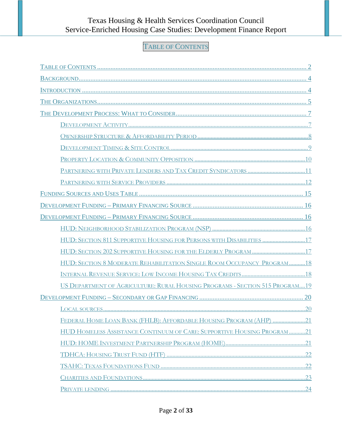# TABLE OF CONTENTS

<span id="page-1-0"></span>

| HUD: SECTION 811 SUPPORTIVE HOUSING FOR PERSONS WITH DISABILITIES 17         |  |
|------------------------------------------------------------------------------|--|
|                                                                              |  |
| HUD: SECTION 8 MODERATE REHABILITATION SINGLE ROOM OCCUPANCY PROGRAM18       |  |
|                                                                              |  |
| US DEPARTMENT OF AGRICULTURE: RURAL HOUSING PROGRAMS - SECTION 515 PROGRAM19 |  |
|                                                                              |  |
|                                                                              |  |
| FEDERAL HOME LOAN BANK (FHLB): AFFORDABLE HOUSING PROGRAM (AHP) 21           |  |
| HUD HOMELESS ASSISTANCE CONTINUUM OF CARE: SUPPORTIVE HOUSING PROGRAM21      |  |
|                                                                              |  |
|                                                                              |  |
|                                                                              |  |
|                                                                              |  |
|                                                                              |  |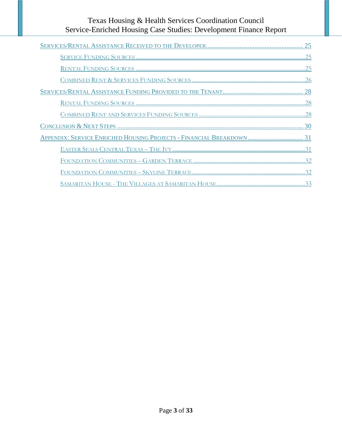| APPENDIX: SERVICE ENRICHED HOUSING PROJECTS - FINANCIAL BREAKDOWN  31 |
|-----------------------------------------------------------------------|
|                                                                       |
|                                                                       |
|                                                                       |
|                                                                       |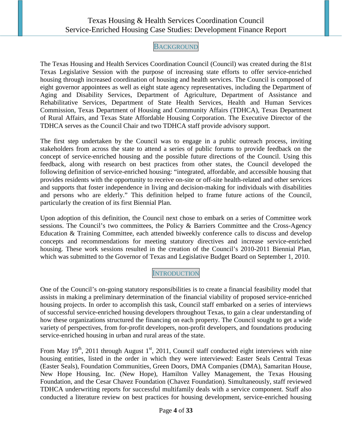# **BACKGROUND**

<span id="page-3-0"></span>The Texas Housing and Health Services Coordination Council (Council) was created during the 81st Texas Legislative Session with the purpose of increasing state efforts to offer service-enriched housing through increased coordination of housing and health services. The Council is composed of eight governor appointees as well as eight state agency representatives, including the Department of Aging and Disability Services, Department of Agriculture, Department of Assistance and Rehabilitative Services, Department of State Health Services, Health and Human Services Commission, Texas Department of Housing and Community Affairs (TDHCA), Texas Department of Rural Affairs, and Texas State Affordable Housing Corporation. The Executive Director of the TDHCA serves as the Council Chair and two TDHCA staff provide advisory support.

The first step undertaken by the Council was to engage in a public outreach process, inviting stakeholders from across the state to attend a series of public forums to provide feedback on the concept of service-enriched housing and the possible future directions of the Council. Using this feedback, along with research on best practices from other states, the Council developed the following definition of service-enriched housing: "integrated, affordable, and accessible housing that provides residents with the opportunity to receive on-site or off-site health-related and other services and supports that foster independence in living and decision-making for individuals with disabilities and persons who are elderly." This definition helped to frame future actions of the Council, particularly the creation of its first Biennial Plan.

Upon adoption of this definition, the Council next chose to embark on a series of Committee work sessions. The Council's two committees, the Policy & Barriers Committee and the Cross-Agency Education & Training Committee, each attended biweekly conference calls to discuss and develop concepts and recommendations for meeting statutory directives and increase service-enriched housing. These work sessions resulted in the creation of the Council's 2010-2011 Biennial Plan, which was submitted to the Governor of Texas and Legislative Budget Board on September 1, 2010.

# **INTRODUCTION**

<span id="page-3-1"></span>One of the Council's on-going statutory responsibilities is to create a financial feasibility model that assists in making a preliminary determination of the financial viability of proposed service-enriched housing projects. In order to accomplish this task, Council staff embarked on a series of interviews of successful service-enriched housing developers throughout Texas, to gain a clear understanding of how these organizations structured the financing on each property. The Council sought to get a wide variety of perspectives, from for-profit developers, non-profit developers, and foundations producing service-enriched housing in urban and rural areas of the state.

From May  $19<sup>th</sup>$ , 2011 through August  $1<sup>st</sup>$ , 2011, Council staff conducted eight interviews with nine housing entities, listed in the order in which they were interviewed: Easter Seals Central Texas (Easter Seals), Foundation Communities, Green Doors, DMA Companies (DMA), Samaritan House, New Hope Housing, Inc. (New Hope), Hamilton Valley Management, the Texas Housing Foundation, and the Cesar Chavez Foundation (Chavez Foundation). Simultaneously, staff reviewed TDHCA underwriting reports for successful multifamily deals with a service component. Staff also conducted a literature review on best practices for housing development, service-enriched housing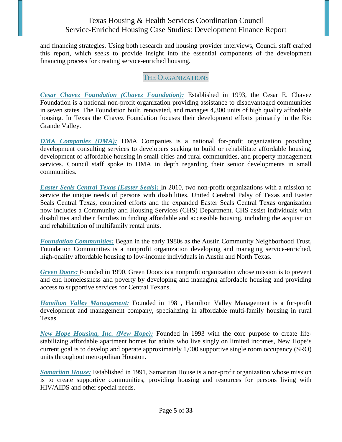and financing strategies. Using both research and housing provider interviews, Council staff crafted this report, which seeks to provide insight into the essential components of the development financing process for creating service-enriched housing.

# THE ORGANIZATIONS

<span id="page-4-0"></span>*Cesar Chavez Foundation (Chavez Foundation):* Established in 1993, the Cesar E. Chavez Foundation is a national non-profit organization providing assistance to disadvantaged communities in seven states. The Foundation built, renovated, and manages 4,300 units of high quality affordable housing. In Texas the Chavez Foundation focuses their development efforts primarily in the Rio Grande Valley.

*DMA Companies (DMA):* DMA Companies is a national for-profit organization providing development consulting services to developers seeking to build or rehabilitate affordable housing, development of affordable housing in small cities and rural communities, and property management services. Council staff spoke to DMA in depth regarding their senior developments in small communities.

*Easter Seals Central Texas (Easter Seals):* In 2010, two non-profit organizations with a mission to service the unique needs of persons with disabilities, United Cerebral Palsy of Texas and Easter Seals Central Texas, combined efforts and the expanded Easter Seals Central Texas organization now includes a Community and Housing Services (CHS) Department. CHS assist individuals with disabilities and their families in finding affordable and accessible housing, including the acquisition and rehabilitation of multifamily rental units.

*Foundation Communities:* Began in the early 1980s as the Austin Community Neighborhood Trust, Foundation Communities is a nonprofit organization developing and managing service-enriched, high-quality affordable housing to low-income individuals in Austin and North Texas.

*Green Doors:* Founded in 1990, Green Doors is a nonprofit organization whose mission is to prevent and end homelessness and poverty by developing and managing affordable housing and providing access to supportive services for Central Texans.

*Hamilton Valley Management:* Founded in 1981, Hamilton Valley Management is a for-profit development and management company, specializing in affordable multi-family housing in rural Texas.

*New Hope Housing, Inc. (New Hope):* Founded in 1993 with the core purpose to create lifestabilizing affordable apartment homes for adults who live singly on limited incomes, New Hope's current goal is to develop and operate approximately 1,000 supportive single room occupancy (SRO) units throughout metropolitan Houston.

*Samaritan House:* Established in 1991, Samaritan House is a non-profit organization whose mission is to create supportive communities, providing housing and resources for persons living with HIV/AIDS and other special needs.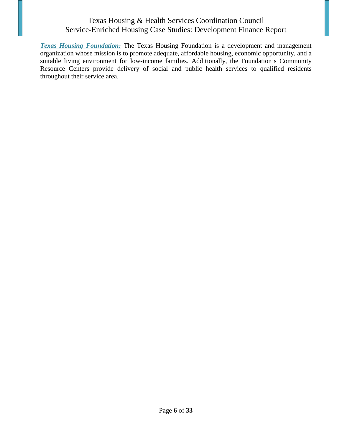*Texas Housing Foundation:* The Texas Housing Foundation is a development and management organization whose mission is to promote adequate, affordable housing, economic opportunity, and a suitable living environment for low-income families. Additionally, the Foundation's Community Resource Centers provide delivery of social and public health services to qualified residents throughout their service area.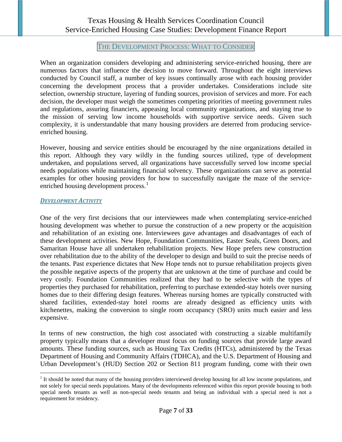#### THE DEVELOPMENT PROCESS: WHAT TO CONSIDER

<span id="page-6-0"></span>When an organization considers developing and administering service-enriched housing, there are numerous factors that influence the decision to move forward. Throughout the eight interviews conducted by Council staff, a number of key issues continually arose with each housing provider concerning the development process that a provider undertakes. Considerations include site selection, ownership structure, layering of funding sources, provision of services and more. For each decision, the developer must weigh the sometimes competing priorities of meeting government rules and regulations, assuring financiers, appeasing local community organizations, and staying true to the mission of serving low income households with supportive service needs. Given such complexity, it is understandable that many housing providers are deterred from producing serviceenriched housing.

However, housing and service entities should be encouraged by the nine organizations detailed in this report. Although they vary wildly in the funding sources utilized, type of development undertaken, and populations served, all organizations have successfully served low income special needs populations while maintaining financial solvency. These organizations can serve as potential examples for other housing providers for how to successfully navigate the maze of the service-enriched housing development process.<sup>[1](#page-6-2)</sup>

#### <span id="page-6-1"></span>*DEVELOPMENT ACTIVITY*

One of the very first decisions that our interviewees made when contemplating service-enriched housing development was whether to pursue the construction of a new property or the acquisition and rehabilitation of an existing one. Interviewees gave advantages and disadvantages of each of these development activities. New Hope, Foundation Communities, Easter Seals, Green Doors, and Samaritan House have all undertaken rehabilitation projects. New Hope prefers new construction over rehabilitation due to the ability of the developer to design and build to suit the precise needs of the tenants. Past experience dictates that New Hope tends not to pursue rehabilitation projects given the possible negative aspects of the property that are unknown at the time of purchase and could be very costly. Foundation Communities realized that they had to be selective with the types of properties they purchased for rehabilitation, preferring to purchase extended-stay hotels over nursing homes due to their differing design features. Whereas nursing homes are typically constructed with shared facilities, extended-stay hotel rooms are already designed as efficiency units with kitchenettes, making the conversion to single room occupancy (SRO) units much easier and less expensive.

In terms of new construction, the high cost associated with constructing a sizable multifamily property typically means that a developer must focus on funding sources that provide large award amounts. These funding sources, such as Housing Tax Credits (HTCs), administered by the Texas Department of Housing and Community Affairs (TDHCA), and the U.S. Department of Housing and Urban Development's (HUD) Section 202 or Section 811 program funding, come with their own

<span id="page-6-2"></span> $<sup>1</sup>$  It should be noted that many of the housing providers interviewed develop housing for all low income populations, and</sup> not solely for special needs populations. Many of the developments referenced within this report provide housing to both special needs tenants as well as non-special needs tenants and being an individual with a special need is not a requirement for residency.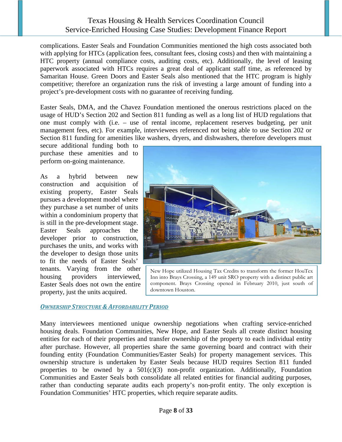complications. Easter Seals and Foundation Communities mentioned the high costs associated both with applying for HTCs (application fees, consultant fees, closing costs) and then with maintaining a HTC property (annual compliance costs, auditing costs, etc). Additionally, the level of leasing paperwork associated with HTCs requires a great deal of applicant staff time, as referenced by Samaritan House. Green Doors and Easter Seals also mentioned that the HTC program is highly competitive; therefore an organization runs the risk of investing a large amount of funding into a project's pre-development costs with no guarantee of receiving funding.

Easter Seals, DMA, and the Chavez Foundation mentioned the onerous restrictions placed on the usage of HUD's Section 202 and Section 811 funding as well as a long list of HUD regulations that one must comply with (i.e. – use of rental income, replacement reserves budgeting, per unit management fees, etc). For example, interviewees referenced not being able to use Section 202 or Section 811 funding for amenities like washers, dryers, and dishwashers, therefore developers must

secure additional funding both to purchase these amenities and to perform on-going maintenance.

As a hybrid between new construction and acquisition of existing property, Easter Seals pursues a development model where they purchase a set number of units within a condominium property that is still in the pre-development stage. Easter Seals approaches the developer prior to construction, purchases the units, and works with the developer to design those units to fit the needs of Easter Seals' tenants. Varying from the other housing providers interviewed, Easter Seals does not own the entire property, just the units acquired.

New Hope utilized Housing Tax Credits to transform the former HouTex Inn into Brays Crossing, a 149 unit SRO property with a distinct public art component. Brays Crossing opened in February 2010, just south of downtown Houston.

#### <span id="page-7-0"></span>*OWNERSHIP STRUCTURE & AFFORDABILITY PERIOD*

Many interviewees mentioned unique ownership negotiations when crafting service-enriched housing deals. Foundation Communities, New Hope, and Easter Seals all create distinct housing entities for each of their properties and transfer ownership of the property to each individual entity after purchase. However, all properties share the same governing board and contract with their founding entity (Foundation Communities/Easter Seals) for property management services. This ownership structure is undertaken by Easter Seals because HUD requires Section 811 funded properties to be owned by a  $501(c)(3)$  non-profit organization. Additionally, Foundation Communities and Easter Seals both consolidate all related entities for financial auditing purposes, rather than conducting separate audits each property's non-profit entity. The only exception is Foundation Communities' HTC properties, which require separate audits.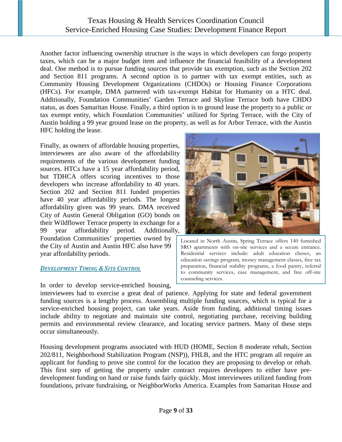Another factor influencing ownership structure is the ways in which developers can forgo property taxes, which can be a major budget item and influence the financial feasibility of a development deal. One method is to pursue funding sources that provide tax exemption, such as the Section 202 and Section 811 programs. A second option is to partner with tax exempt entities, such as Community Housing Development Organizations (CHDOs) or Housing Finance Corporations (HFCs). For example, DMA partnered with tax-exempt Habitat for Humanity on a HTC deal. Additionally, Foundation Communities' Garden Terrace and Skyline Terrace both have CHDO status, as does Samaritan House. Finally, a third option is to ground lease the property to a public or tax exempt entity, which Foundation Communities' utilized for Spring Terrace, with the City of Austin holding a 99 year ground lease on the property, as well as for Arbor Terrace, with the Austin HFC holding the lease.

Finally, as owners of affordable housing properties, interviewees are also aware of the affordability requirements of the various development funding sources. HTCs have a 15 year affordability period, but TDHCA offers scoring incentives to those developers who increase affordability to 40 years. Section 202 and Section 811 funded properties have 40 year affordability periods. The longest affordability given was 99 years. DMA received City of Austin General Obligation (GO) bonds on their Wildflower Terrace property in exchange for a 99 year affordability period. Additionally, Foundation Communities' properties owned by the City of Austin and Austin HFC also have 99 year affordability periods.

#### <span id="page-8-0"></span>*DEVELOPMENT TIMING & SITE CONTROL*

In order to develop service-enriched housing,



Located in North Austin, Spring Terrace offers 140 furnished SRO apartments with on-site services and a secure entrance. Residential services include: adult education classes, an education savings program, money management classes, free tax preparation, financial stability programs, a food pantry, referral to community services, case management, and free off-site counseling services.

interviewees had to exercise a great deal of patience. Applying for state and federal government funding sources is a lengthy process. Assembling multiple funding sources, which is typical for a service-enriched housing project, can take years. Aside from funding, additional timing issues include ability to negotiate and maintain site control, negotiating purchase, receiving building permits and environmental review clearance, and locating service partners. Many of these steps occur simultaneously.

Housing development programs associated with HUD (HOME, Section 8 moderate rehab, Section 202/811, Neighborhood Stabilization Program (NSP)), FHLB, and the HTC program all require an applicant for funding to prove site control for the location they are proposing to develop or rehab. This first step of getting the property under contract requires developers to either have predevelopment funding on hand or raise funds fairly quickly. Most interviewees utilized funding from foundations, private fundraising, or NeighborWorks America. Examples from Samaritan House and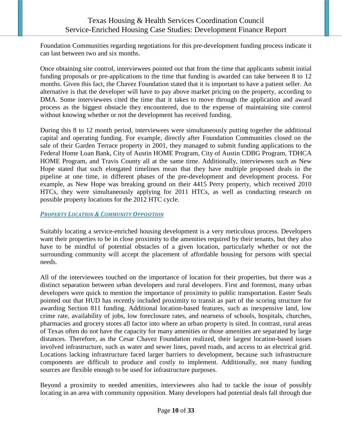Foundation Communities regarding negotiations for this pre-development funding process indicate it can last between two and six months.

Once obtaining site control, interviewees pointed out that from the time that applicants submit initial funding proposals or pre-applications to the time that funding is awarded can take between 8 to 12 months. Given this fact, the Chavez Foundation stated that it is important to have a patient seller. An alternative is that the developer will have to pay above market pricing on the property, according to DMA. Some interviewees cited the time that it takes to move through the application and award process as the biggest obstacle they encountered, due to the expense of maintaining site control without knowing whether or not the development has received funding.

During this 8 to 12 month period, interviewees were simultaneously putting together the additional capital and operating funding. For example, directly after Foundation Communities closed on the sale of their Garden Terrace property in 2001, they managed to submit funding applications to the Federal Home Loan Bank, City of Austin HOME Program, City of Austin CDBG Program, TDHCA HOME Program, and Travis County all at the same time. Additionally, interviewees such as New Hope stated that such elongated timelines mean that they have multiple proposed deals in the pipeline at one time, in different phases of the pre-development and development process. For example, as New Hope was breaking ground on their 4415 Perry property, which received 2010 HTCs, they were simultaneously applying for 2011 HTCs, as well as conducting research on possible property locations for the 2012 HTC cycle.

#### <span id="page-9-0"></span>*PROPERTY LOCATION & COMMUNITY OPPOSITION*

Suitably locating a service-enriched housing development is a very meticulous process. Developers want their properties to be in close proximity to the amenities required by their tenants, but they also have to be mindful of potential obstacles of a given location, particularly whether or not the surrounding community will accept the placement of affordable housing for persons with special needs.

All of the interviewees touched on the importance of location for their properties, but there was a distinct separation between urban developers and rural developers. First and foremost, many urban developers were quick to mention the importance of proximity to public transportation. Easter Seals pointed out that HUD has recently included proximity to transit as part of the scoring structure for awarding Section 811 funding. Additional location-based features, such as inexpensive land, low crime rate, availability of jobs, low foreclosure rates, and nearness of schools, hospitals, churches, pharmacies and grocery stores all factor into where an urban property is sited. In contrast, rural areas of Texas often do not have the capacity for many amenities or those amenities are separated by large distances. Therefore, as the Cesar Chavez Foundation realized, their largest location-based issues involved infrastructure, such as water and sewer lines, paved roads, and access to an electrical grid. Locations lacking infrastructure faced larger barriers to development, because such infrastructure components are difficult to produce and costly to implement. Additionally, not many funding sources are flexible enough to be used for infrastructure purposes.

Beyond a proximity to needed amenities, interviewees also had to tackle the issue of possibly locating in an area with community opposition. Many developers had potential deals fall through due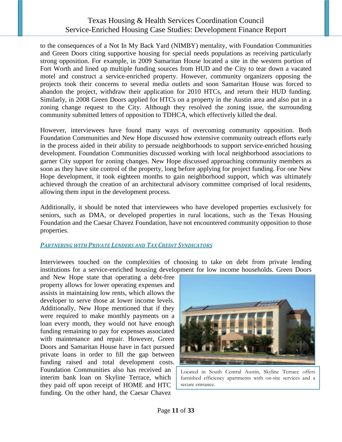to the consequences of a Not In My Back Yard (NIMBY) mentality, with Foundation Communities and Green Doors citing supportive housing for special needs populations as receiving particularly strong opposition. For example, in 2009 Samaritan House located a site in the western portion of Fort Worth and lined up multiple funding sources from HUD and the City to tear down a vacated motel and construct a service-enriched property. However, community organizers opposing the projects took their concerns to several media outlets and soon Samaritan House was forced to abandon the project, withdraw their application for 2010 HTCs, and return their HUD funding. Similarly, in 2008 Green Doors applied for HTCs on a property in the Austin area and also put in a zoning change request to the City. Although they resolved the zoning issue, the surrounding community submitted letters of opposition to TDHCA, which effectively killed the deal.

However, interviewees have found many ways of overcoming community opposition. Both Foundation Communities and New Hope discussed how extensive community outreach efforts early in the process aided in their ability to persuade neighborhoods to support service-enriched housing development. Foundation Communities discussed working with local neighborhood associations to garner City support for zoning changes. New Hope discussed approaching community members as soon as they have site control of the property, long before applying for project funding. For one New Hope development, it took eighteen months to gain neighborhood support, which was ultimately achieved through the creation of an architectural advisory committee comprised of local residents, allowing them input in the development process.

Additionally, it should be noted that interviewees who have developed properties exclusively for seniors, such as DMA, or developed properties in rural locations, such as the Texas Housing Foundation and the Caesar Chavez Foundation, have not encountered community opposition to those properties.

#### <span id="page-10-0"></span>*PARTNERING WITH PRIVATE LENDERS AND TAX CREDIT SYNDICATORS*

Interviewees touched on the complexities of choosing to take on debt from private lending institutions for a service-enriched housing development for low income households. Green Doors

and New Hope state that operating a debt-free property allows for lower operating expenses and assists in maintaining low rents, which allows the developer to serve those at lower income levels. Additionally, New Hope mentioned that if they were required to make monthly payments on a loan every month, they would not have enough funding remaining to pay for expenses associated with maintenance and repair. However, Green Doors and Samaritan House have in fact pursued private loans in order to fill the gap between funding raised and total development costs. Foundation Communities also has received an interim bank loan on Skyline Terrace, which they paid off upon receipt of HOME and HTC funding. On the other hand, the Caesar Chavez



Located in South Central Austin, Skyline Terrace offers furnished efficiency apartments with on-site services and a secure entrance.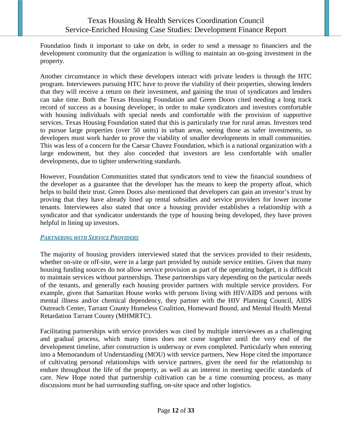Foundation finds it important to take on debt, in order to send a message to financiers and the development community that the organization is willing to maintain an on-going investment in the property.

Another circumstance in which these developers interact with private lenders is through the HTC program. Interviewees pursuing HTC have to prove the viability of their properties, showing lenders that they will receive a return on their investment, and gaining the trust of syndicators and lenders can take time. Both the Texas Housing Foundation and Green Doors cited needing a long track record of success as a housing developer, in order to make syndicators and investors comfortable with housing individuals with special needs and comfortable with the provision of supportive services. Texas Housing Foundation stated that this is particularly true for rural areas. Investors tend to pursue large properties (over 50 units) in urban areas, seeing those as safer investments, so developers must work harder to prove the viability of smaller developments in small communities. This was less of a concern for the Caesar Chavez Foundation, which is a national organization with a large endowment, but they also conceded that investors are less comfortable with smaller developments, due to tighter underwriting standards.

However, Foundation Communities stated that syndicators tend to view the financial soundness of the developer as a guarantee that the developer has the means to keep the property afloat, which helps to build their trust. Green Doors also mentioned that developers can gain an investor's trust by proving that they have already lined up rental subsidies and service providers for lower income tenants. Interviewees also stated that once a housing provider establishes a relationship with a syndicator and that syndicator understands the type of housing being developed, they have proven helpful in lining up investors.

#### <span id="page-11-0"></span>*PARTNERING WITH SERVICE PROVIDERS*

The majority of housing providers interviewed stated that the services provided to their residents, whether on-site or off-site, were in a large part provided by outside service entities. Given that many housing funding sources do not allow service provision as part of the operating budget, it is difficult to maintain services without partnerships. These partnerships vary depending on the particular needs of the tenants, and generally each housing provider partners with multiple service providers. For example, given that Samaritan House works with persons living with HIV/AIDS and persons with mental illness and/or chemical dependency, they partner with the HIV Planning Council, AIDS Outreach Center, Tarrant County Homeless Coalition, Homeward Bound, and Mental Health Mental Retardation Tarrant County (MHMRTC).

Facilitating partnerships with service providers was cited by multiple interviewees as a challenging and gradual process, which many times does not come together until the very end of the development timeline, after construction is underway or even completed. Particularly when entering into a Memorandum of Understanding (MOU) with service partners, New Hope cited the importance of cultivating personal relationships with service partners, given the need for the relationship to endure throughout the life of the property, as well as an interest in meeting specific standards of care. New Hope noted that partnership cultivation can be a time consuming process, as many discussions must be had surrounding staffing, on-site space and other logistics.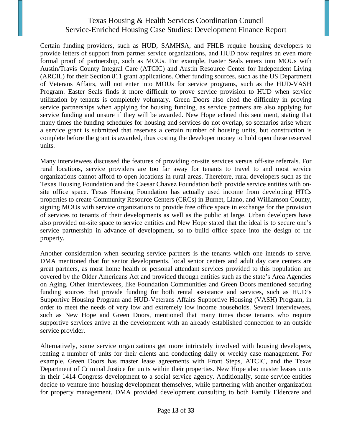Certain funding providers, such as HUD, SAMHSA, and FHLB require housing developers to provide letters of support from partner service organizations, and HUD now requires an even more formal proof of partnership, such as MOUs. For example, Easter Seals enters into MOUs with Austin/Travis County Integral Care (ATCIC) and Austin Resource Center for Independent Living (ARCIL) for their Section 811 grant applications. Other funding sources, such as the US Department of Veterans Affairs, will not enter into MOUs for service programs, such as the HUD-VASH Program. Easter Seals finds it more difficult to prove service provision to HUD when service utilization by tenants is completely voluntary. Green Doors also cited the difficulty in proving service partnerships when applying for housing funding, as service partners are also applying for service funding and unsure if they will be awarded. New Hope echoed this sentiment, stating that many times the funding schedules for housing and services do not overlap, so scenarios arise where a service grant is submitted that reserves a certain number of housing units, but construction is complete before the grant is awarded, thus costing the developer money to hold open these reserved units.

Many interviewees discussed the features of providing on-site services versus off-site referrals. For rural locations, service providers are too far away for tenants to travel to and most service organizations cannot afford to open locations in rural areas. Therefore, rural developers such as the Texas Housing Foundation and the Caesar Chavez Foundation both provide service entities with onsite office space. Texas Housing Foundation has actually used income from developing HTCs properties to create Community Resource Centers (CRCs) in Burnet, Llano, and Williamson County, signing MOUs with service organizations to provide free office space in exchange for the provision of services to tenants of their developments as well as the public at large. Urban developers have also provided on-site space to service entities and New Hope stated that the ideal is to secure one's service partnership in advance of development, so to build office space into the design of the property.

Another consideration when securing service partners is the tenants which one intends to serve. DMA mentioned that for senior developments, local senior centers and adult day care centers are great partners, as most home health or personal attendant services provided to this population are covered by the Older Americans Act and provided through entities such as the state's Area Agencies on Aging. Other interviewees, like Foundation Communities and Green Doors mentioned securing funding sources that provide funding for both rental assistance and services, such as HUD's Supportive Housing Program and HUD-Veterans Affairs Supportive Housing (VASH) Program, in order to meet the needs of very low and extremely low income households. Several interviewees, such as New Hope and Green Doors, mentioned that many times those tenants who require supportive services arrive at the development with an already established connection to an outside service provider.

Alternatively, some service organizations get more intricately involved with housing developers, renting a number of units for their clients and conducting daily or weekly case management. For example, Green Doors has master lease agreements with Front Steps, ATCIC, and the Texas Department of Criminal Justice for units within their properties. New Hope also master leases units in their 1414 Congress development to a social service agency. Additionally, some service entities decide to venture into housing development themselves, while partnering with another organization for property management. DMA provided development consulting to both Family Eldercare and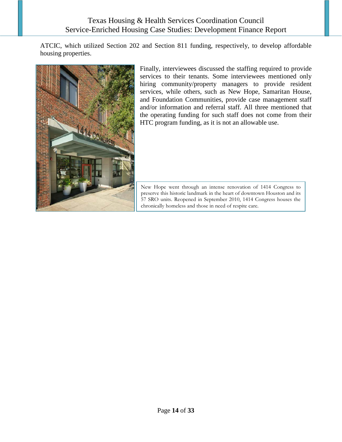ATCIC, which utilized Section 202 and Section 811 funding, respectively, to develop affordable housing properties.



Finally, interviewees discussed the staffing required to provide services to their tenants. Some interviewees mentioned only hiring community/property managers to provide resident services, while others, such as New Hope, Samaritan House, and Foundation Communities, provide case management staff and/or information and referral staff. All three mentioned that the operating funding for such staff does not come from their HTC program funding, as it is not an allowable use.

New Hope went through an intense renovation of 1414 Congress to preserve this historic landmark in the heart of downtown Houston and its 57 SRO units. Reopened in September 2010, 1414 Congress houses the chronically homeless and those in need of respite care.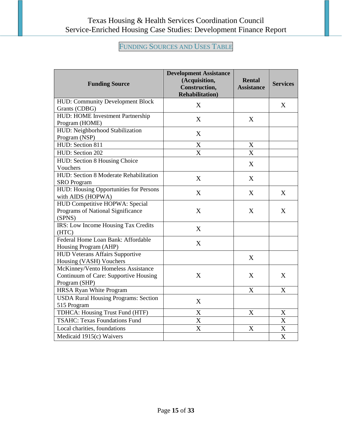# FUNDING SOURCES AND USES TABLE

<span id="page-14-0"></span>

| <b>Funding Source</b>                                                                        | <b>Development Assistance</b><br>(Acquisition,<br>Construction,<br><b>Rehabilitation</b> ) | Rental<br><b>Assistance</b> | <b>Services</b>           |
|----------------------------------------------------------------------------------------------|--------------------------------------------------------------------------------------------|-----------------------------|---------------------------|
| HUD: Community Development Block<br>Grants (CDBG)                                            | X                                                                                          |                             | X                         |
| HUD: HOME Investment Partnership<br>Program (HOME)                                           | X                                                                                          | X                           |                           |
| HUD: Neighborhood Stabilization<br>Program (NSP)                                             | $\boldsymbol{X}$                                                                           |                             |                           |
| HUD: Section 811                                                                             | $\mathbf X$                                                                                | X                           |                           |
| HUD: Section 202                                                                             | $\overline{X}$                                                                             | $\overline{\text{X}}$       |                           |
| HUD: Section 8 Housing Choice<br>Vouchers                                                    |                                                                                            | X                           |                           |
| HUD: Section 8 Moderate Rehabilitation<br><b>SRO</b> Program                                 | X                                                                                          | X                           |                           |
| HUD: Housing Opportunities for Persons<br>with AIDS (HOPWA)                                  | $\mathbf X$                                                                                | X                           | X                         |
| HUD Competitive HOPWA: Special<br>Programs of National Significance<br>(SPNS)                | X                                                                                          | X                           | X                         |
| IRS: Low Income Housing Tax Credits<br>(HTC)                                                 | X                                                                                          |                             |                           |
| Federal Home Loan Bank: Affordable<br>Housing Program (AHP)                                  | $\mathbf X$                                                                                |                             |                           |
| <b>HUD Veterans Affairs Supportive</b><br>Housing (VASH) Vouchers                            |                                                                                            | X                           |                           |
| McKinney/Vento Homeless Assistance<br>Continuum of Care: Supportive Housing<br>Program (SHP) | $\boldsymbol{X}$                                                                           | X                           | X                         |
| HRSA Ryan White Program                                                                      |                                                                                            | X                           | X                         |
| <b>USDA Rural Housing Programs: Section</b><br>515 Program                                   | X                                                                                          |                             |                           |
| TDHCA: Housing Trust Fund (HTF)                                                              | X                                                                                          | X                           | X                         |
| <b>TSAHC: Texas Foundations Fund</b>                                                         | X                                                                                          |                             | X                         |
| Local charities, foundations                                                                 | X                                                                                          | X                           | $\boldsymbol{\mathrm{X}}$ |
| Medicaid 1915(c) Waivers                                                                     |                                                                                            |                             | $\overline{\text{X}}$     |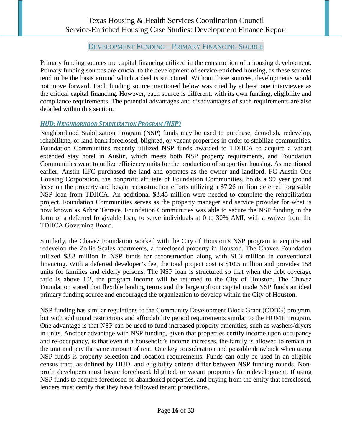DEVELOPMENT FUNDING – PRIMARY FINANCING SOURCE

<span id="page-15-0"></span>Primary funding sources are capital financing utilized in the construction of a housing development. Primary funding sources are crucial to the development of service-enriched housing, as these sources tend to be the basis around which a deal is structured. Without these sources, developments would not move forward. Each funding source mentioned below was cited by at least one interviewee as the critical capital financing. However, each source is different, with its own funding, eligibility and compliance requirements. The potential advantages and disadvantages of such requirements are also detailed within this section.

#### <span id="page-15-1"></span>*HUD: NEIGHBORHOOD STABILIZATION PROGRAM (NSP)*

Neighborhood Stabilization Program (NSP) funds may be used to purchase, demolish, redevelop, rehabilitate, or land bank foreclosed, blighted, or vacant properties in order to stabilize communities. Foundation Communities recently utilized NSP funds awarded to TDHCA to acquire a vacant extended stay hotel in Austin, which meets both NSP property requirements, and Foundation Communities want to utilize efficiency units for the production of supportive housing. As mentioned earlier, Austin HFC purchased the land and operates as the owner and landlord. FC Austin One Housing Corporation, the nonprofit affiliate of Foundation Communities, holds a 99 year ground lease on the property and began reconstruction efforts utilizing a \$7.26 million deferred forgivable NSP loan from TDHCA. An additional \$3.45 million were needed to complete the rehabilitation project. Foundation Communities serves as the property manager and service provider for what is now known as Arbor Terrace. Foundation Communities was able to secure the NSP funding in the form of a deferred forgivable loan, to serve individuals at 0 to 30% AMI, with a waiver from the TDHCA Governing Board.

Similarly, the Chavez Foundation worked with the City of Houston's NSP program to acquire and redevelop the Zollie Scales apartments, a foreclosed property in Houston. The Chavez Foundation utilized \$8.8 million in NSP funds for reconstruction along with \$1.3 million in conventional financing. With a deferred developer's fee, the total project cost is \$10.5 million and provides 158 units for families and elderly persons. The NSP loan is structured so that when the debt coverage ratio is above 1.2, the program income will be returned to the City of Houston. The Chavez Foundation stated that flexible lending terms and the large upfront capital made NSP funds an ideal primary funding source and encouraged the organization to develop within the City of Houston.

NSP funding has similar regulations to the Community Development Block Grant (CDBG) program, but with additional restrictions and affordability period requirements similar to the HOME program. One advantage is that NSP can be used to fund increased property amenities, such as washers/dryers in units. Another advantage with NSP funding, given that properties certify income upon occupancy and re-occupancy, is that even if a household's income increases, the family is allowed to remain in the unit and pay the same amount of rent. One key consideration and possible drawback when using NSP funds is property selection and location requirements. Funds can only be used in an eligible census tract, as defined by HUD, and eligibility criteria differ between NSP funding rounds. Nonprofit developers must locate foreclosed, blighted, or vacant properties for redevelopment. If using NSP funds to acquire foreclosed or abandoned properties, and buying from the entity that foreclosed, lenders must certify that they have followed tenant protections.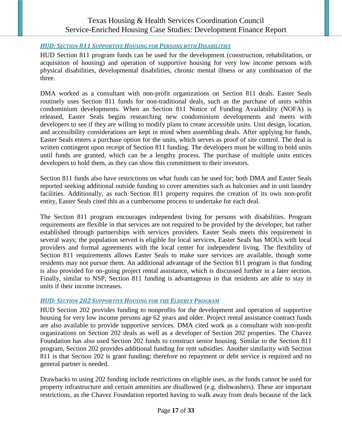#### <span id="page-16-0"></span>*HUD: SECTION 811 SUPPORTIVE HOUSING FOR PERSONS WITH DISABILITIES*

HUD Section 811 program funds can be used for the development (construction, rehabilitation, or acquisition of housing) and operation of supportive housing for very low income persons with physical disabilities, developmental disabilities, chronic mental illness or any combination of the three.

DMA worked as a consultant with non-profit organizations on Section 811 deals. Easter Seals routinely uses Section 811 funds for non-traditional deals, such as the purchase of units within condominium developments. When an Section 811 Notice of Funding Availability (NOFA) is released, Easter Seals begins researching new condominium developments and meets with developers to see if they are willing to modify plans to create accessible units. Unit design, location, and accessibility considerations are kept in mind when assembling deals. After applying for funds, Easter Seals enters a purchase option for the units, which serves as proof of site control. The deal is written contingent upon receipt of Section 811 funding. The developers must be willing to hold units until funds are granted, which can be a lengthy process. The purchase of multiple units entices developers to hold them, as they can show this commitment to their investors.

Section 811 funds also have restrictions on what funds can be used for; both DMA and Easter Seals reported seeking additional outside funding to cover amenities such as balconies and in unit laundry facilities. Additionally, as each Section 811 property requires the creation of its own non-profit entity, Easter Seals cited this as a cumbersome process to undertake for each deal.

The Section 811 program encourages independent living for persons with disabilities. Program requirements are flexible in that services are not required to be provided by the developer, but rather established through partnerships with services providers. Easter Seals meets this requirement in several ways; the population served is eligible for local services, Easter Seals has MOUs with local providers and formal agreements with the local center for independent living. The flexibility of Section 811 requirements allows Easter Seals to make sure services are available, though some residents may not pursue them. An additional advantage of the Section 811 program is that funding is also provided for on-going project rental assistance, which is discussed further in a later section. Finally, similar to NSP, Section 811 funding is advantageous in that residents are able to stay in units if their income increases.

#### <span id="page-16-1"></span>*HUD: SECTION 202 SUPPORTIVE HOUSING FOR THE ELDERLY PROGRAM*

HUD Section 202 provides funding to nonprofits for the development and operation of supportive housing for very low income persons age 62 years and older. Project rental assistance contract funds are also available to provide supportive services. DMA cited work as a consultant with non-profit organizations on Section 202 deals as well as a developer of Section 202 properties. The Chavez Foundation has also used Section 202 funds to construct senior housing. Similar to the Section 811 program, Section 202 provides additional funding for rent subsidies. Another similarity with Section 811 is that Section 202 is grant funding; therefore no repayment or debt service is required and no general partner is needed.

Drawbacks to using 202 funding include restrictions on eligible uses, as the funds cannot be used for property infrastructure and certain amenities are disallowed (e.g. dishwashers). These are important restrictions, as the Chavez Foundation reported having to walk away from deals because of the lack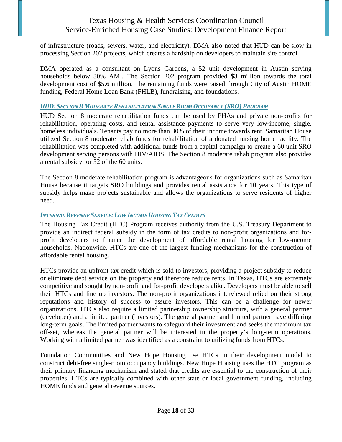of infrastructure (roads, sewers, water, and electricity). DMA also noted that HUD can be slow in processing Section 202 projects, which creates a hardship on developers to maintain site control.

DMA operated as a consultant on Lyons Gardens, a 52 unit development in Austin serving households below 30% AMI. The Section 202 program provided \$3 million towards the total development cost of \$5.6 million. The remaining funds were raised through City of Austin HOME funding, Federal Home Loan Bank (FHLB), fundraising, and foundations.

#### <span id="page-17-0"></span>*HUD: SECTION 8 MODERATE REHABILITATION SINGLE ROOM OCCUPANCY (SRO) PROGRAM*

HUD Section 8 moderate rehabilitation funds can be used by PHAs and private non-profits for rehabilitation, operating costs, and rental assistance payments to serve very low-income, single, homeless individuals. Tenants pay no more than 30% of their income towards rent. Samaritan House utilized Section 8 moderate rehab funds for rehabilitation of a donated nursing home facility. The rehabilitation was completed with additional funds from a capital campaign to create a 60 unit SRO development serving persons with HIV/AIDS. The Section 8 moderate rehab program also provides a rental subsidy for 52 of the 60 units.

The Section 8 moderate rehabilitation program is advantageous for organizations such as Samaritan House because it targets SRO buildings and provides rental assistance for 10 years. This type of subsidy helps make projects sustainable and allows the organizations to serve residents of higher need.

#### <span id="page-17-1"></span>*INTERNAL REVENUE SERVICE: LOW INCOME HOUSING TAX CREDITS*

The Housing Tax Credit (HTC) Program receives authority from the U.S. Treasury Department to provide an indirect federal subsidy in the form of tax credits to non-profit organizations and forprofit developers to finance the development of affordable rental housing for low-income households. Nationwide, HTCs are one of the largest funding mechanisms for the construction of affordable rental housing.

HTCs provide an upfront tax credit which is sold to investors, providing a project subsidy to reduce or eliminate debt service on the property and therefore reduce rents. In Texas, HTCs are extremely competitive and sought by non-profit and for-profit developers alike. Developers must be able to sell their HTCs and line up investors. The non-profit organizations interviewed relied on their strong reputations and history of success to assure investors. This can be a challenge for newer organizations. HTCs also require a limited partnership ownership structure, with a general partner (developer) and a limited partner (investors). The general partner and limited partner have differing long-term goals. The limited partner wants to safeguard their investment and seeks the maximum tax off-set, whereas the general partner will be interested in the property's long-term operations. Working with a limited partner was identified as a constraint to utilizing funds from HTCs.

Foundation Communities and New Hope Housing use HTCs in their development model to construct debt-free single-room occupancy buildings. New Hope Housing uses the HTC program as their primary financing mechanism and stated that credits are essential to the construction of their properties. HTCs are typically combined with other state or local government funding, including HOME funds and general revenue sources.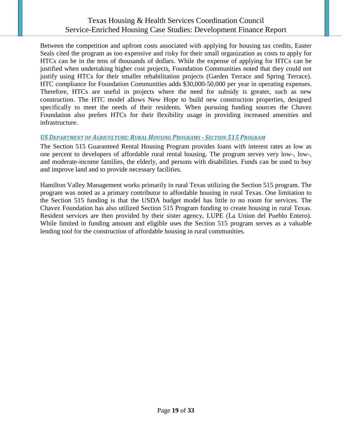Between the competition and upfront costs associated with applying for housing tax credits, Easter Seals cited the program as too expensive and risky for their small organization as costs to apply for HTCs can be in the tens of thousands of dollars. While the expense of applying for HTCs can be justified when undertaking higher cost projects, Foundation Communities noted that they could not justify using HTCs for their smaller rehabilitation projects (Garden Terrace and Spring Terrace). HTC compliance for Foundation Communities adds \$30,000-50,000 per year in operating expenses. Therefore, HTCs are useful in projects where the need for subsidy is greater, such as new construction. The HTC model allows New Hope to build new construction properties, designed specifically to meet the needs of their residents. When pursuing funding sources the Chavez Foundation also prefers HTCs for their flexibility usage in providing increased amenities and infrastructure.

#### <span id="page-18-0"></span>*USDEPARTMENT OF AGRICULTURE: RURAL HOUSING PROGRAMS - SECTION 515 PROGRAM*

The Section 515 Guaranteed Rental Housing Program provides loans with interest rates as low as one percent to developers of affordable rural rental housing. The program serves very low-, low-, and moderate-income families, the elderly, and persons with disabilities. Funds can be used to buy and improve land and to provide necessary facilities.

Hamilton Valley Management works primarily in rural Texas utilizing the Section 515 program. The program was noted as a primary contributor to affordable housing in rural Texas. One limitation to the Section 515 funding is that the USDA budget model has little to no room for services. The Chavez Foundation has also utilized Section 515 Program funding to create housing in rural Texas. Resident services are then provided by their sister agency, LUPE (La Union del Pueblo Entero). While limited in funding amount and eligible uses the Section 515 program serves as a valuable lending tool for the construction of affordable housing in rural communities.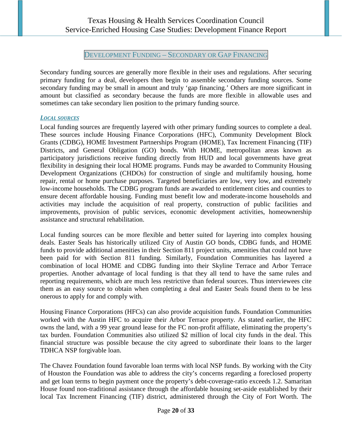DEVELOPMENT FUNDING – SECONDARY OR GAP FINANCING

<span id="page-19-0"></span>Secondary funding sources are generally more flexible in their uses and regulations. After securing primary funding for a deal, developers then begin to assemble secondary funding sources. Some secondary funding may be small in amount and truly 'gap financing.' Others are more significant in amount but classified as secondary because the funds are more flexible in allowable uses and sometimes can take secondary lien position to the primary funding source.

#### <span id="page-19-1"></span>*LOCAL SOURCES*

Local funding sources are frequently layered with other primary funding sources to complete a deal. These sources include Housing Finance Corporations (HFC), Community Development Block Grants (CDBG), HOME Investment Partnerships Program (HOME), Tax Increment Financing (TIF) Districts, and General Obligation (GO) bonds. With HOME, metropolitan areas known as participatory jurisdictions receive funding directly from HUD and local governments have great flexibility in designing their local HOME programs. Funds may be awarded to Community Housing Development Organizations (CHDOs) for construction of single and multifamily housing, home repair, rental or home purchase purposes. Targeted beneficiaries are low, very low, and extremely low-income households. The CDBG program funds are awarded to entitlement cities and counties to ensure decent affordable housing. Funding must benefit low and moderate-income households and activities may include the acquisition of real property, construction of public facilities and improvements, provision of public services, economic development activities, homeownership assistance and structural rehabilitation.

Local funding sources can be more flexible and better suited for layering into complex housing deals. Easter Seals has historically utilized City of Austin GO bonds, CDBG funds, and HOME funds to provide additional amenities in their Section 811 project units, amenities that could not have been paid for with Section 811 funding. Similarly, Foundation Communities has layered a combination of local HOME and CDBG funding into their Skyline Terrace and Arbor Terrace properties. Another advantage of local funding is that they all tend to have the same rules and reporting requirements, which are much less restrictive than federal sources. Thus interviewees cite them as an easy source to obtain when completing a deal and Easter Seals found them to be less onerous to apply for and comply with.

Housing Finance Corporations (HFCs) can also provide acquisition funds. Foundation Communities worked with the Austin HFC to acquire their Arbor Terrace property. As stated earlier, the HFC owns the land, with a 99 year ground lease for the FC non-profit affiliate, eliminating the property's tax burden. Foundation Communities also utilized \$2 million of local city funds in the deal. This financial structure was possible because the city agreed to subordinate their loans to the larger TDHCA NSP forgivable loan.

The Chavez Foundation found favorable loan terms with local NSP funds. By working with the City of Houston the Foundation was able to address the city's concerns regarding a foreclosed property and get loan terms to begin payment once the property's debt-coverage-ratio exceeds 1.2. Samaritan House found non-traditional assistance through the affordable housing set-aside established by their local Tax Increment Financing (TIF) district, administered through the City of Fort Worth. The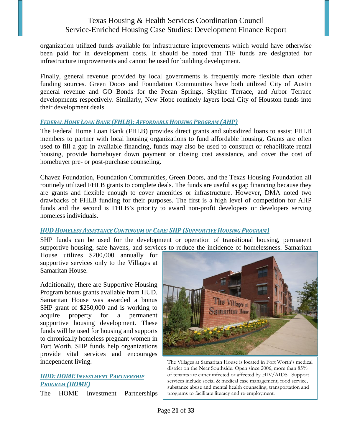organization utilized funds available for infrastructure improvements which would have otherwise been paid for in development costs. It should be noted that TIF funds are designated for infrastructure improvements and cannot be used for building development.

Finally, general revenue provided by local governments is frequently more flexible than other funding sources. Green Doors and Foundation Communities have both utilized City of Austin general revenue and GO Bonds for the Pecan Springs, Skyline Terrace, and Arbor Terrace developments respectively. Similarly, New Hope routinely layers local City of Houston funds into their development deals.

#### <span id="page-20-0"></span>*FEDERAL HOME LOAN BANK (FHLB): AFFORDABLE HOUSING PROGRAM (AHP)*

The Federal Home Loan Bank (FHLB) provides direct grants and subsidized loans to assist FHLB members to partner with local housing organizations to fund affordable housing. Grants are often used to fill a gap in available financing, funds may also be used to construct or rehabilitate rental housing, provide homebuyer down payment or closing cost assistance, and cover the cost of homebuyer pre- or post-purchase counseling.

Chavez Foundation, Foundation Communities, Green Doors, and the Texas Housing Foundation all routinely utilized FHLB grants to complete deals. The funds are useful as gap financing because they are grants and flexible enough to cover amenities or infrastructure. However, DMA noted two drawbacks of FHLB funding for their purposes. The first is a high level of competition for AHP funds and the second is FHLB's priority to award non-profit developers or developers serving homeless individuals.

#### <span id="page-20-1"></span>*HUDHOMELESS ASSISTANCE CONTINUUM OF CARE: SHP (SUPPORTIVE HOUSING PROGRAM)*

SHP funds can be used for the development or operation of transitional housing, permanent supportive housing, safe havens, and services to reduce the incidence of homelessness. Samaritan

House utilizes \$200,000 annually for supportive services only to the Villages at Samaritan House.

Additionally, there are Supportive Housing Program bonus grants available from HUD. Samaritan House was awarded a bonus SHP grant of \$250,000 and is working to acquire property for a permanent supportive housing development. These funds will be used for housing and supports to chronically homeless pregnant women in Fort Worth. SHP funds help organizations provide vital services and encourages independent living.

#### <span id="page-20-2"></span>**HUD: HOME INVESTMENT PARTNERSHIP** *PROGRAM (HOME)*

The HOME Investment Partnerships



The Villages at Samaritan House is located in Fort Worth's medical district on the Near Southside. Open since 2006, more than 85% of tenants are either infected or affected by HIV/AIDS. Support services include social & medical case management, food service, substance abuse and mental health counseling, transportation and programs to facilitate literacy and re-employment.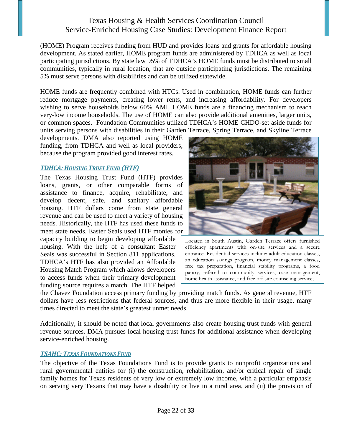(HOME) Program receives funding from HUD and provides loans and grants for affordable housing development. As stated earlier, HOME program funds are administered by TDHCA as well as local participating jurisdictions. By state law 95% of TDHCA's HOME funds must be distributed to small communities, typically in rural location, that are outside participating jurisdictions. The remaining 5% must serve persons with disabilities and can be utilized statewide.

HOME funds are frequently combined with HTCs. Used in combination, HOME funds can further reduce mortgage payments, creating lower rents, and increasing affordability. For developers wishing to serve households below 60% AMI, HOME funds are a financing mechanism to reach very-low income households. The use of HOME can also provide additional amenities, larger units, or common spaces. Foundation Communities utilized TDHCA's HOME CHDO-set aside funds for units serving persons with disabilities in their Garden Terrace, Spring Terrace, and Skyline Terrace

developments. DMA also reported using HOME funding, from TDHCA and well as local providers, because the program provided good interest rates.

#### <span id="page-21-0"></span>*TDHCA:HOUSING TRUST FUND (HTF)*

The Texas Housing Trust Fund (HTF) provides loans, grants, or other comparable forms of assistance to finance, acquire, rehabilitate, and develop decent, safe, and sanitary affordable housing. HTF dollars come from state general revenue and can be used to meet a variety of housing needs. Historically, the HTF has used these funds to meet state needs. Easter Seals used HTF monies for

capacity building to begin developing affordable housing. With the help of a consultant Easter Seals was successful in Section 811 applications. TDHCA's HTF has also provided an Affordable Housing Match Program which allows developers to access funds when their primary development funding source requires a match. The HTF helped



Located in South Austin, Garden Terrace offers furnished efficiency apartments with on-site services and a secure entrance. Residential services include: adult education classes, an education savings program, money management classes, free tax preparation, financial stability programs, a food pantry, referral to community services, case management, home health assistance, and free off-site counseling services.

the Chavez Foundation access primary funding by providing match funds. As general revenue, HTF dollars have less restrictions that federal sources, and thus are more flexible in their usage, many times directed to meet the state's greatest unmet needs.

Additionally, it should be noted that local governments also create housing trust funds with general revenue sources. DMA pursues local housing trust funds for additional assistance when developing service-enriched housing.

#### <span id="page-21-1"></span>*TSAHC: TEXAS FOUNDATIONS FUND*

The objective of the Texas Foundations Fund is to provide grants to nonprofit organizations and rural governmental entities for (i) the construction, rehabilitation, and/or critical repair of single family homes for Texas residents of very low or extremely low income, with a particular emphasis on serving very Texans that may have a disability or live in a rural area, and (ii) the provision of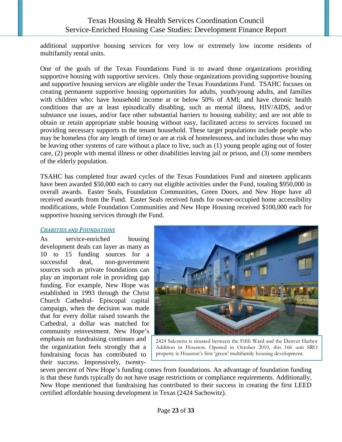<span id="page-22-0"></span>additional supportive housing services for very low or extremely low income residents of multifamily rental units.

One of the goals of the Texas Foundations Fund is to award those organizations providing supportive housing with supportive services. Only those organizations providing supportive housing and supportive housing services are eligible under the Texas Foundations Fund. TSAHC focuses on creating permanent supportive housing opportunities for adults, youth/young adults, and families with children who: have household income at or below 50% of AMI; and have chronic health conditions that are at least episodically disabling, such as mental illness, HIV/AIDS, and/or substance use issues, and/or face other substantial barriers to housing stability; and are not able to obtain or retain appropriate stable housing without easy, facilitated access to services focused on providing necessary supports to the tenant household. These target populations include people who may be homeless (for any length of time) or are at risk of homelessness, and includes those who may be leaving other systems of care without a place to live, such as (1) young people aging out of foster care, (2) people with mental illness or other disabilities leaving jail or prison, and (3) some members of the elderly population.

TSAHC has completed four award cycles of the Texas Foundations Fund and nineteen applicants have been awarded \$50,000 each to carry out eligible activities under the Fund, totaling \$950,000 in overall awards. Easter Seals, Foundation Communities, Green Doors, and New Hope have all received awards from the Fund. Easter Seals received funds for owner-occupied home accessibility modifications, while Foundation Communities and New Hope Housing received \$100,000 each for supportive housing services through the Fund.

#### *CHARITIES AND FOUNDATIONS*

As service-enriched housing development deals can layer as many as 10 to 15 funding sources for a successful deal, non-government sources such as private foundations can play an important role in providing gap funding. For example, New Hope was established in 1993 through the Christ Church Cathedral- Episcopal capital campaign, when the decision was made that for every dollar raised towards the Cathedral, a dollar was matched for community reinvestment. New Hope's emphasis on fundraising continues and the organization feels strongly that a fundraising focus has contributed to their success. Impressively, twenty-



2424 Sakowitz is situated between the Fifth Ward and the Denver Harbor Addition in Houston. Opened in October 2010, this 166 unit SRO property is Houston's first 'green' multifamily housing development.

seven percent of New Hope's funding comes from foundations. An advantage of foundation funding is that these funds typically do not have usage restrictions or compliance requirements. Additionally, New Hope mentioned that fundraising has contributed to their success in creating the first LEED certified affordable housing development in Texas (2424 Sachowitz).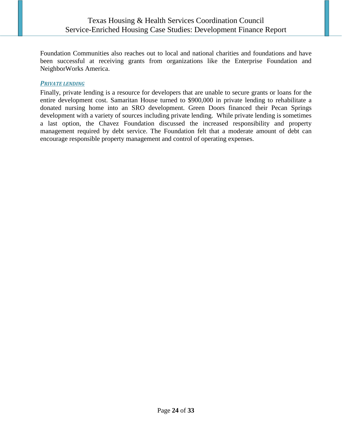Foundation Communities also reaches out to local and national charities and foundations and have been successful at receiving grants from organizations like the Enterprise Foundation and NeighborWorks America.

#### <span id="page-23-0"></span>**PRIVATE LENDING**

Finally, private lending is a resource for developers that are unable to secure grants or loans for the entire development cost. Samaritan House turned to \$900,000 in private lending to rehabilitate a donated nursing home into an SRO development. Green Doors financed their Pecan Springs development with a variety of sources including private lending. While private lending is sometimes a last option, the Chavez Foundation discussed the increased responsibility and property management required by debt service. The Foundation felt that a moderate amount of debt can encourage responsible property management and control of operating expenses.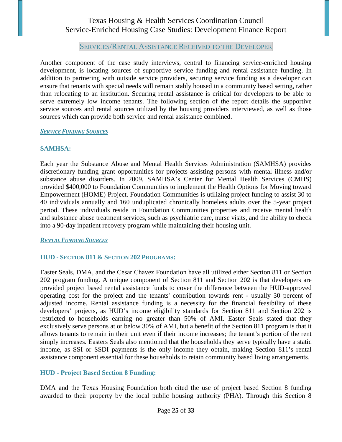#### SERVICES/RENTAL ASSISTANCE RECEIVED TO THE DEVELOPER

<span id="page-24-0"></span>Another component of the case study interviews, central to financing service-enriched housing development, is locating sources of supportive service funding and rental assistance funding. In addition to partnering with outside service providers, securing service funding as a developer can ensure that tenants with special needs will remain stably housed in a community based setting, rather than relocating to an institution. Securing rental assistance is critical for developers to be able to serve extremely low income tenants. The following section of the report details the supportive service sources and rental sources utilized by the housing providers interviewed, as well as those sources which can provide both service and rental assistance combined.

#### <span id="page-24-1"></span>*SERVICE FUNDING SOURCES*

#### **SAMHSA:**

Each year the Substance Abuse and Mental Health Services Administration (SAMHSA) provides discretionary funding grant opportunities for projects assisting persons with mental illness and/or substance abuse disorders. In 2009, SAMHSA's Center for Mental Health Services (CMHS) provided \$400,000 to Foundation Communities to implement the Health Options for Moving toward Empowerment (HOME) Project. Foundation Communities is utilizing project funding to assist 30 to 40 individuals annually and 160 unduplicated chronically homeless adults over the 5-year project period. These individuals reside in Foundation Communities properties and receive mental health and substance abuse treatment services, such as psychiatric care, nurse visits, and the ability to check into a 90-day inpatient recovery program while maintaining their housing unit.

<span id="page-24-2"></span>*RENTAL FUNDING SOURCES*

#### **HUD - SECTION 811 & SECTION 202 PROGRAMS:**

Easter Seals, DMA, and the Cesar Chavez Foundation have all utilized either Section 811 or Section 202 program funding. A unique component of Section 811 and Section 202 is that developers are provided project based rental assistance funds to cover the difference between the HUD-approved operating cost for the project and the tenants' contribution towards rent - usually 30 percent of adjusted income. Rental assistance funding is a necessity for the financial feasibility of these developers' projects, as HUD's income eligibility standards for Section 811 and Section 202 is restricted to households earning no greater than 50% of AMI. Easter Seals stated that they exclusively serve persons at or below 30% of AMI, but a benefit of the Section 811 program is that it allows tenants to remain in their unit even if their income increases; the tenant's portion of the rent simply increases. Easters Seals also mentioned that the households they serve typically have a static income, as SSI or SSDI payments is the only income they obtain, making Section 811's rental assistance component essential for these households to retain community based living arrangements.

#### **HUD - Project Based Section 8 Funding:**

DMA and the Texas Housing Foundation both cited the use of project based Section 8 funding awarded to their property by the local public housing authority (PHA). Through this Section 8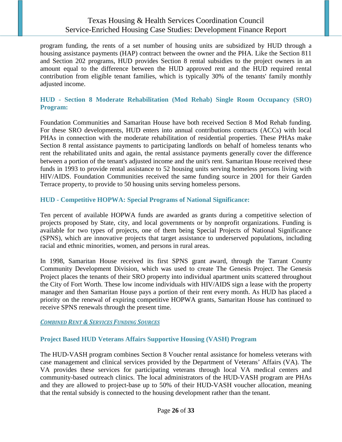program funding, the rents of a set number of housing units are subsidized by HUD through a housing assistance payments (HAP) contract between the owner and the PHA. Like the Section 811 and Section 202 programs, HUD provides Section 8 rental subsidies to the project owners in an amount equal to the difference between the HUD approved rent and the HUD required rental contribution from eligible tenant families, which is typically 30% of the tenants' family monthly adjusted income.

#### **HUD - Section 8 Moderate Rehabilitation (Mod Rehab) Single Room Occupancy (SRO) Program:**

Foundation Communities and Samaritan House have both received Section 8 Mod Rehab funding. For these SRO developments, HUD enters into annual contributions contracts (ACCs) with local PHAs in connection with the moderate rehabilitation of residential properties. These PHAs make Section 8 rental assistance payments to participating landlords on behalf of homeless tenants who rent the rehabilitated units and again, the rental assistance payments generally cover the difference between a portion of the tenant's adjusted income and the unit's rent. Samaritan House received these funds in 1993 to provide rental assistance to 52 housing units serving homeless persons living with HIV/AIDS. Foundation Communities received the same funding source in 2001 for their Garden Terrace property, to provide to 50 housing units serving homeless persons.

#### **HUD - Competitive HOPWA: Special Programs of National Significance:**

Ten percent of available HOPWA funds are awarded as grants during a competitive selection of projects proposed by State, city, and local governments or by nonprofit organizations. Funding is available for two types of projects, one of them being Special Projects of National Significance (SPNS), which are innovative projects that target assistance to underserved populations, including racial and ethnic minorities, women, and persons in rural areas.

In 1998, Samaritan House received its first SPNS grant award, through the Tarrant County Community Development Division, which was used to create The Genesis Project. The Genesis Project places the tenants of their SRO property into individual apartment units scattered throughout the City of Fort Worth. These low income individuals with HIV/AIDS sign a lease with the property manager and then Samaritan House pays a portion of their rent every month. As HUD has placed a priority on the renewal of expiring competitive HOPWA grants, Samaritan House has continued to receive SPNS renewals through the present time.

#### <span id="page-25-0"></span>*COMBINED RENT & SERVICES FUNDING SOURCES*

#### **Project Based HUD Veterans Affairs Supportive Housing (VASH) Program**

The HUD-VASH program combines Section 8 Voucher rental assistance for homeless veterans with case management and clinical services provided by the Department of Veterans' Affairs (VA). The VA provides these services for participating veterans through local VA medical centers and community-based outreach clinics. The local administrators of the HUD-VASH program are PHAs and they are allowed to project-base up to 50% of their HUD-VASH voucher allocation, meaning that the rental subsidy is connected to the housing development rather than the tenant.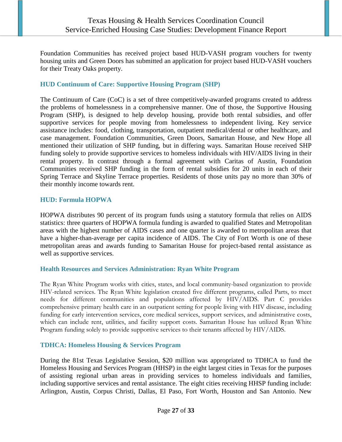Foundation Communities has received project based HUD-VASH program vouchers for twenty housing units and Green Doors has submitted an application for project based HUD-VASH vouchers for their Treaty Oaks property.

#### **HUD Continuum of Care: Supportive Housing Program (SHP)**

The Continuum of Care (CoC) is a set of three competitively-awarded programs created to address the problems of homelessness in a comprehensive manner. One of those, the Supportive Housing Program (SHP), is designed to help develop housing, provide both rental subsidies, and offer supportive services for people moving from homelessness to independent living. Key service assistance includes: food, clothing, transportation, outpatient medical/dental or other healthcare, and case management. Foundation Communities, Green Doors, Samaritan House, and New Hope all mentioned their utilization of SHP funding, but in differing ways. Samaritan House received SHP funding solely to provide supportive services to homeless individuals with HIV/AIDS living in their rental property. In contrast through a formal agreement with Caritas of Austin, Foundation Communities received SHP funding in the form of rental subsidies for 20 units in each of their Spring Terrace and Skyline Terrace properties. Residents of those units pay no more than 30% of their monthly income towards rent.

#### **HUD: Formula HOPWA**

HOPWA distributes 90 percent of its program funds using a statutory formula that relies on AIDS statistics: three quarters of HOPWA formula funding is awarded to qualified States and Metropolitan areas with the highest number of AIDS cases and one quarter is awarded to metropolitan areas that have a higher-than-average per capita incidence of AIDS. The City of Fort Worth is one of these metropolitan areas and awards funding to Samaritan House for project-based rental assistance as well as supportive services.

#### **Health Resources and Services Administration: Ryan White Program**

The Ryan White Program works with cities, states, and local community-based organization to provide HIV-related services. The Ryan White legislation created five different programs, called Parts, to meet needs for different communities and populations affected by HIV/AIDS. [Part C](http://hab.hrsa.gov/abouthab/partc.html) provides comprehensive primary health care in an outpatient setting for people living with HIV disease, including funding for early intervention services, core medical services, support services, and administrative costs, which can include rent, utilities, and facility support costs. Samaritan House has utilized Ryan White Program funding solely to provide supportive services to their tenants affected by HIV/AIDS.

#### **TDHCA: Homeless Housing & Services Program**

During the 81st Texas Legislative Session, \$20 million was appropriated to TDHCA to fund the Homeless Housing and Services Program (HHSP) in the eight largest cities in Texas for the purposes of assisting regional urban areas in providing services to homeless individuals and families, including supportive services and rental assistance. The eight cities receiving HHSP funding include: Arlington, Austin, Corpus Christi, Dallas, El Paso, Fort Worth, Houston and San Antonio. New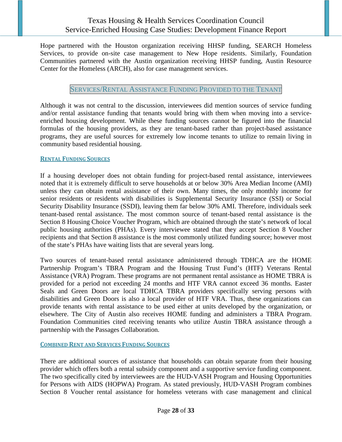Hope partnered with the Houston organization receiving HHSP funding, SEARCH Homeless Services, to provide on-site case management to New Hope residents. Similarly, Foundation Communities partnered with the Austin organization receiving HHSP funding, Austin Resource Center for the Homeless (ARCH), also for case management services.

#### SERVICES/RENTAL ASSISTANCE FUNDING PROVIDED TO THE TENANT

<span id="page-27-0"></span>Although it was not central to the discussion, interviewees did mention sources of service funding and/or rental assistance funding that tenants would bring with them when moving into a serviceenriched housing development. While these funding sources cannot be figured into the financial formulas of the housing providers, as they are tenant-based rather than project-based assistance programs, they are useful sources for extremely low income tenants to utilize to remain living in community based residential housing.

#### <span id="page-27-1"></span>**RENTAL FUNDING SOURCES**

If a housing developer does not obtain funding for project-based rental assistance, interviewees noted that it is extremely difficult to serve households at or below 30% Area Median Income (AMI) unless they can obtain rental assistance of their own. Many times, the only monthly income for senior residents or residents with disabilities is Supplemental Security Insurance (SSI) or Social Security Disability Insurance (SSDI), leaving them far below 30% AMI. Therefore, individuals seek tenant-based rental assistance. The most common source of tenant-based rental assistance is the Section 8 Housing Choice Voucher Program, which are obtained through the state's network of local public housing authorities (PHAs). Every interviewee stated that they accept Section 8 Voucher recipients and that Section 8 assistance is the most commonly utilized funding source; however most of the state's PHAs have waiting lists that are several years long.

Two sources of tenant-based rental assistance administered through TDHCA are the HOME Partnership Program's TBRA Program and the Housing Trust Fund's (HTF) Veterans Rental Assistance (VRA) Program. These programs are not permanent rental assistance as HOME TBRA is provided for a period not exceeding 24 months and HTF VRA cannot exceed 36 months. Easter Seals and Green Doors are local TDHCA TBRA providers specifically serving persons with disabilities and Green Doors is also a local provider of HTF VRA. Thus, these organizations can provide tenants with rental assistance to be used either at units developed by the organization, or elsewhere. The City of Austin also receives HOME funding and administers a TBRA Program. Foundation Communities cited receiving tenants who utilize Austin TBRA assistance through a partnership with the Passages Collaboration.

<span id="page-27-2"></span>**COMBINED RENT AND SERVICES FUNDING SOURCES**

There are additional sources of assistance that households can obtain separate from their housing provider which offers both a rental subsidy component and a supportive service funding component. The two specifically cited by interviewees are the HUD-VASH Program and Housing Opportunities for Persons with AIDS (HOPWA) Program. As stated previously, HUD-VASH Program combines Section 8 Voucher rental assistance for homeless veterans with case management and clinical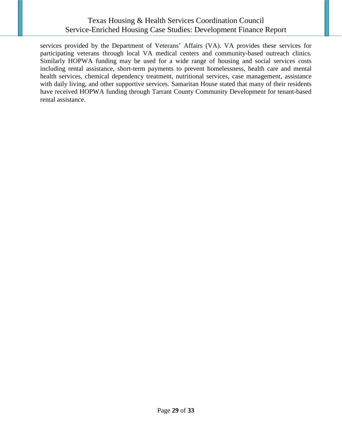services provided by the Department of Veterans' Affairs (VA). VA provides these services for participating veterans through local VA medical centers and community-based outreach clinics. Similarly HOPWA funding may be used for a wide range of housing and social services costs including rental assistance, short-term payments to prevent homelessness, health care and mental health services, chemical dependency treatment, nutritional services, case management, assistance with daily living, and other supportive services. Samaritan House stated that many of their residents have received HOPWA funding through Tarrant County Community Development for tenant-based rental assistance.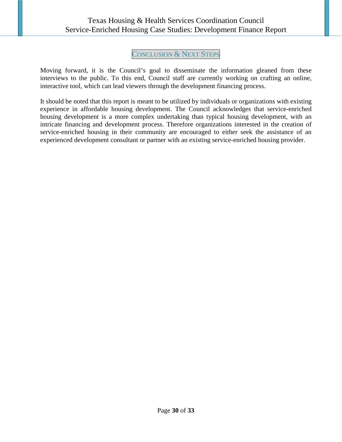# CONCLUSION & NEXT STEPS

<span id="page-29-0"></span>Moving forward, it is the Council's goal to disseminate the information gleaned from these interviews to the public. To this end, Council staff are currently working on crafting an online, interactive tool, which can lead viewers through the development financing process.

It should be noted that this report is meant to be utilized by individuals or organizations with existing experience in affordable housing development. The Council acknowledges that service-enriched housing development is a more complex undertaking than typical housing development, with an intricate financing and development process. Therefore organizations interested in the creation of service-enriched housing in their community are encouraged to either seek the assistance of an experienced development consultant or partner with an existing service-enriched housing provider.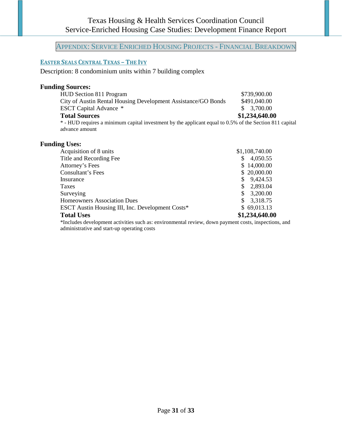# <span id="page-30-0"></span>APPENDIX: SERVICE ENRICHED HOUSING PROJECTS - FINANCIAL BREAKDOWN

### <span id="page-30-1"></span>**EASTER SEALS CENTRAL TEXAS – THE IVY**

Description: 8 condominium units within 7 building complex

#### **Funding Sources:**

| HUD Section 811 Program                                                                                 | \$739,900.00   |
|---------------------------------------------------------------------------------------------------------|----------------|
| City of Austin Rental Housing Development Assistance/GO Bonds                                           | \$491,040.00   |
| <b>ESCT</b> Capital Advance *                                                                           | \$3,700.00     |
| <b>Total Sources</b>                                                                                    | \$1,234,640.00 |
| * - HUD requires a minimum capital investment by the applicant equal to 0.5% of the Section 811 capital |                |
| advance amount                                                                                          |                |

#### **Funding Uses:**

| Acquisition of 8 units                           | \$1,108,740.00  |
|--------------------------------------------------|-----------------|
| Title and Recording Fee                          | 4,050.55<br>S   |
| Attorney's Fees                                  | \$14,000.00     |
| <b>Consultant's Fees</b>                         | \$20,000.00     |
| Insurance                                        | \$9,424.53      |
| Taxes                                            | 2,893.04<br>S   |
| Surveying                                        | 3,200.00<br>\$. |
| <b>Homeowners Association Dues</b>               | 3,318.75        |
| ESCT Austin Housing III, Inc. Development Costs* | \$69,013.13     |
| <b>Total Uses</b>                                | \$1,234,640.00  |

\*Includes development activities such as: environmental review, down payment costs, inspections, and administrative and start-up operating costs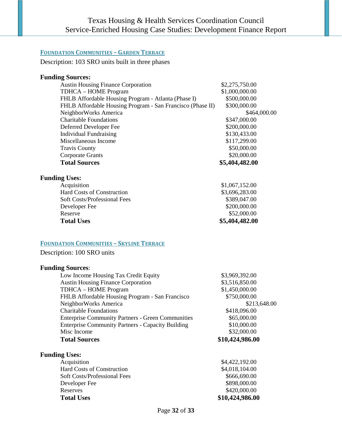### <span id="page-31-0"></span>**FOUNDATION COMMUNITIES – GARDEN TERRACE**

Description: 103 SRO units built in three phases

#### **Funding Sources:**

| <b>Austin Housing Finance Corporation</b>                  | \$2,275,750.00 |  |
|------------------------------------------------------------|----------------|--|
| TDHCA - HOME Program                                       | \$1,000,000.00 |  |
| FHLB Affordable Housing Program - Atlanta (Phase I)        | \$500,000.00   |  |
| FHLB Affordable Housing Program - San Francisco (Phase II) | \$300,000.00   |  |
| NeighborWorks America                                      | \$464,000.00   |  |
| <b>Charitable Foundations</b>                              | \$347,000.00   |  |
| Deferred Developer Fee                                     | \$200,000.00   |  |
| <b>Individual Fundraising</b>                              | \$130,433.00   |  |
| Miscellaneous Income                                       | \$117,299.00   |  |
| <b>Travis County</b>                                       | \$50,000.00    |  |
| <b>Corporate Grants</b>                                    | \$20,000.00    |  |
| <b>Total Sources</b>                                       | \$5,404,482.00 |  |
| <b>Funding Uses:</b>                                       |                |  |
| Acquisition                                                | \$1,067,152.00 |  |
| Hard Costs of Construction                                 | \$3,696,283.00 |  |
| <b>Soft Costs/Professional Fees</b>                        | \$389,047.00   |  |
| Developer Fee                                              | \$200,000.00   |  |
| Reserve                                                    | \$52,000.00    |  |
| <b>Total Uses</b>                                          | \$5,404,482.00 |  |
|                                                            |                |  |

#### <span id="page-31-1"></span>**FOUNDATION COMMUNITIES – SKYLINE TERRACE**

Description: 100 SRO units

### **Funding Sources**:

| Low Income Housing Tax Credit Equity                     | \$3,969,392.00  |
|----------------------------------------------------------|-----------------|
| <b>Austin Housing Finance Corporation</b>                | \$3,516,850.00  |
| TDHCA – HOME Program                                     | \$1,450,000.00  |
| FHLB Affordable Housing Program - San Francisco          | \$750,000.00    |
| NeighborWorks America                                    | \$213,648.00    |
| <b>Charitable Foundations</b>                            | \$418,096.00    |
| <b>Enterprise Community Partners - Green Communities</b> | \$65,000.00     |
| <b>Enterprise Community Partners - Capacity Building</b> | \$10,000.00     |
| Misc Income                                              | \$32,000.00     |
| <b>Total Sources</b>                                     | \$10,424,986.00 |
| <b>Funding Uses:</b>                                     |                 |
| Acquisition                                              | \$4,422,192.00  |
| <b>Hard Costs of Construction</b>                        | \$4,018,104.00  |

| <b>Total Uses</b>                 | \$10,424,986.00 |
|-----------------------------------|-----------------|
| Reserves                          | \$420,000.00    |
| Developer Fee                     | \$898,000.00    |
| Soft Costs/Professional Fees      | \$666,690.00    |
| <b>Hard Costs of Construction</b> | \$4,018,104.00  |
| Acquisition                       | \$4,422,192,00  |